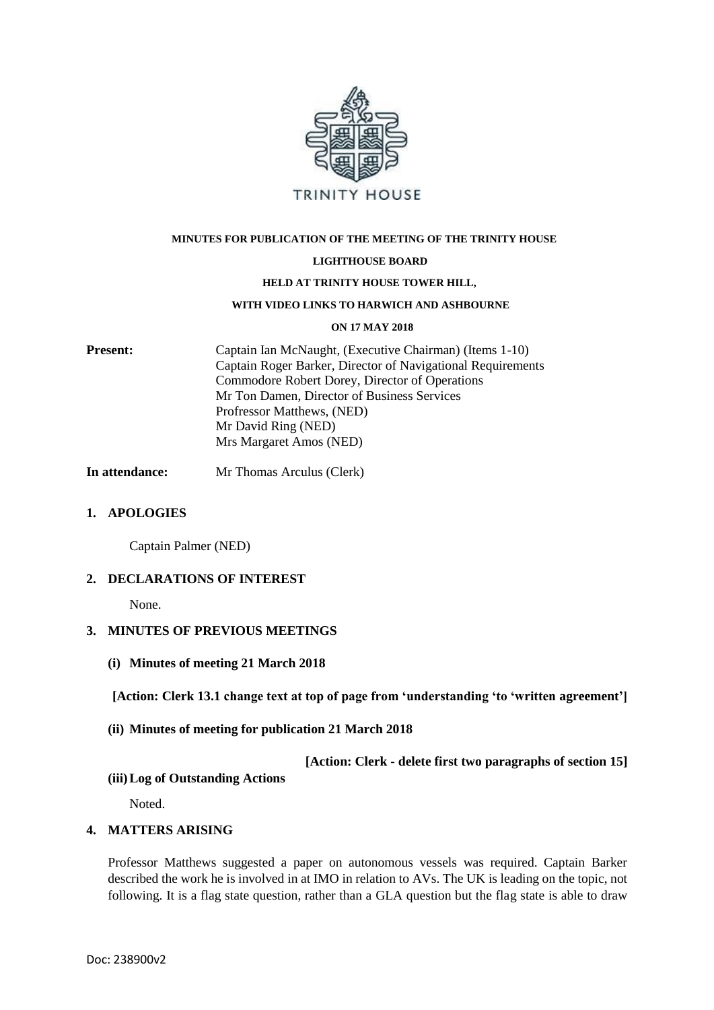

#### **MINUTES FOR PUBLICATION OF THE MEETING OF THE TRINITY HOUSE**

#### **LIGHTHOUSE BOARD**

#### **HELD AT TRINITY HOUSE TOWER HILL,**

#### **WITH VIDEO LINKS TO HARWICH AND ASHBOURNE**

#### **ON 17 MAY 2018**

**Present:** Captain Ian McNaught, (Executive Chairman) (Items 1-10) Captain Roger Barker, Director of Navigational Requirements Commodore Robert Dorey, Director of Operations Mr Ton Damen, Director of Business Services Profressor Matthews, (NED) Mr David Ring (NED) Mrs Margaret Amos (NED)

**In attendance:** Mr Thomas Arculus (Clerk)

#### **1. APOLOGIES**

Captain Palmer (NED)

#### **2. DECLARATIONS OF INTEREST**

None.

### **3. MINUTES OF PREVIOUS MEETINGS**

**(i) Minutes of meeting 21 March 2018**

**[Action: Clerk 13.1 change text at top of page from 'understanding 'to 'written agreement']**

#### **(ii) Minutes of meeting for publication 21 March 2018**

**[Action: Clerk - delete first two paragraphs of section 15]**

#### **(iii)Log of Outstanding Actions**

Noted.

### **4. MATTERS ARISING**

Professor Matthews suggested a paper on autonomous vessels was required. Captain Barker described the work he is involved in at IMO in relation to AVs. The UK is leading on the topic, not following. It is a flag state question, rather than a GLA question but the flag state is able to draw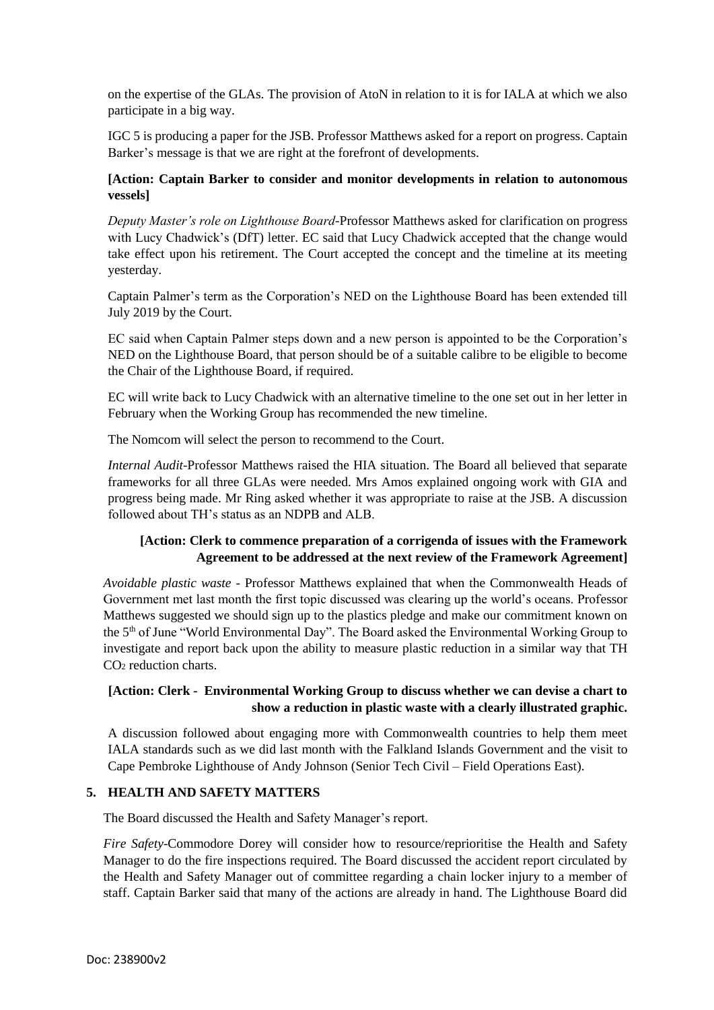on the expertise of the GLAs. The provision of AtoN in relation to it is for IALA at which we also participate in a big way.

IGC 5 is producing a paper for the JSB. Professor Matthews asked for a report on progress. Captain Barker's message is that we are right at the forefront of developments.

# **[Action: Captain Barker to consider and monitor developments in relation to autonomous vessels]**

*Deputy Master's role on Lighthouse Board-*Professor Matthews asked for clarification on progress with Lucy Chadwick's (DfT) letter. EC said that Lucy Chadwick accepted that the change would take effect upon his retirement. The Court accepted the concept and the timeline at its meeting yesterday.

Captain Palmer's term as the Corporation's NED on the Lighthouse Board has been extended till July 2019 by the Court.

EC said when Captain Palmer steps down and a new person is appointed to be the Corporation's NED on the Lighthouse Board, that person should be of a suitable calibre to be eligible to become the Chair of the Lighthouse Board, if required.

EC will write back to Lucy Chadwick with an alternative timeline to the one set out in her letter in February when the Working Group has recommended the new timeline.

The Nomcom will select the person to recommend to the Court.

*Internal Audit*-Professor Matthews raised the HIA situation. The Board all believed that separate frameworks for all three GLAs were needed. Mrs Amos explained ongoing work with GIA and progress being made. Mr Ring asked whether it was appropriate to raise at the JSB. A discussion followed about TH's status as an NDPB and ALB.

# **[Action: Clerk to commence preparation of a corrigenda of issues with the Framework Agreement to be addressed at the next review of the Framework Agreement]**

*Avoidable plastic waste* - Professor Matthews explained that when the Commonwealth Heads of Government met last month the first topic discussed was clearing up the world's oceans. Professor Matthews suggested we should sign up to the plastics pledge and make our commitment known on the 5<sup>th</sup> of June "World Environmental Day". The Board asked the Environmental Working Group to investigate and report back upon the ability to measure plastic reduction in a similar way that TH CO<sup>2</sup> reduction charts.

# **[Action: Clerk - Environmental Working Group to discuss whether we can devise a chart to show a reduction in plastic waste with a clearly illustrated graphic.**

A discussion followed about engaging more with Commonwealth countries to help them meet IALA standards such as we did last month with the Falkland Islands Government and the visit to Cape Pembroke Lighthouse of Andy Johnson (Senior Tech Civil – Field Operations East).

# **5. HEALTH AND SAFETY MATTERS**

The Board discussed the Health and Safety Manager's report.

*Fire Safety*-Commodore Dorey will consider how to resource/reprioritise the Health and Safety Manager to do the fire inspections required. The Board discussed the accident report circulated by the Health and Safety Manager out of committee regarding a chain locker injury to a member of staff. Captain Barker said that many of the actions are already in hand. The Lighthouse Board did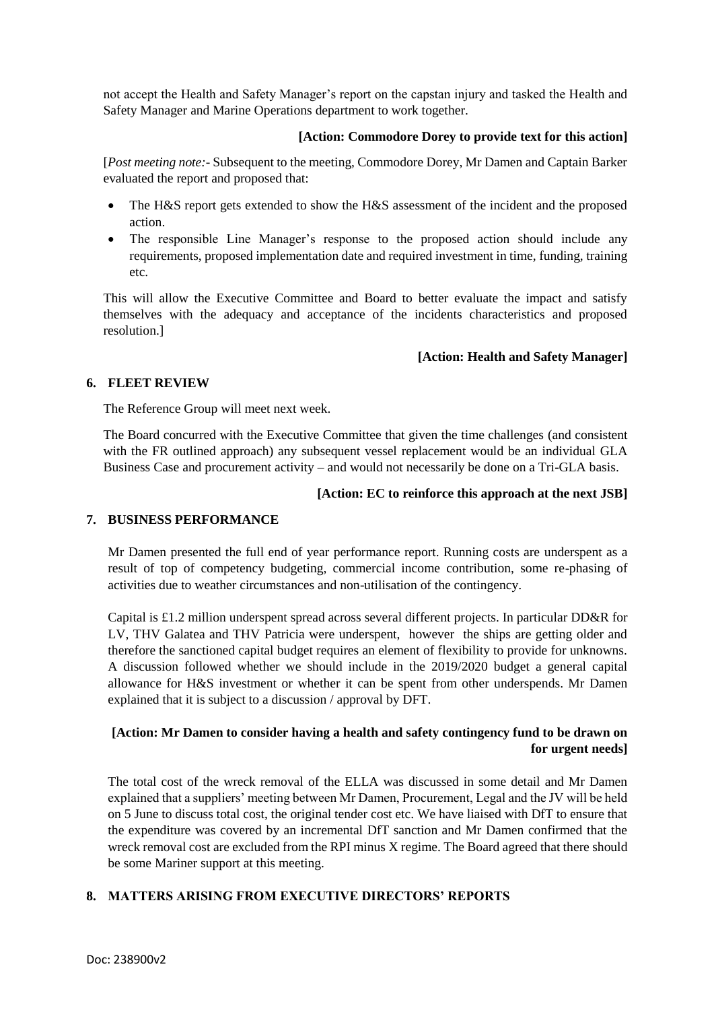not accept the Health and Safety Manager's report on the capstan injury and tasked the Health and Safety Manager and Marine Operations department to work together.

## **[Action: Commodore Dorey to provide text for this action]**

[*Post meeting note:*- Subsequent to the meeting, Commodore Dorey, Mr Damen and Captain Barker evaluated the report and proposed that:

- The H&S report gets extended to show the H&S assessment of the incident and the proposed action.
- The responsible Line Manager's response to the proposed action should include any requirements, proposed implementation date and required investment in time, funding, training etc.

This will allow the Executive Committee and Board to better evaluate the impact and satisfy themselves with the adequacy and acceptance of the incidents characteristics and proposed resolution.]

## **[Action: Health and Safety Manager]**

### **6. FLEET REVIEW**

The Reference Group will meet next week.

The Board concurred with the Executive Committee that given the time challenges (and consistent with the FR outlined approach) any subsequent vessel replacement would be an individual GLA Business Case and procurement activity – and would not necessarily be done on a Tri-GLA basis.

### **[Action: EC to reinforce this approach at the next JSB]**

### **7. BUSINESS PERFORMANCE**

Mr Damen presented the full end of year performance report. Running costs are underspent as a result of top of competency budgeting, commercial income contribution, some re-phasing of activities due to weather circumstances and non-utilisation of the contingency.

Capital is £1.2 million underspent spread across several different projects. In particular DD&R for LV, THV Galatea and THV Patricia were underspent, however the ships are getting older and therefore the sanctioned capital budget requires an element of flexibility to provide for unknowns. A discussion followed whether we should include in the 2019/2020 budget a general capital allowance for H&S investment or whether it can be spent from other underspends. Mr Damen explained that it is subject to a discussion / approval by DFT.

# **[Action: Mr Damen to consider having a health and safety contingency fund to be drawn on for urgent needs]**

The total cost of the wreck removal of the ELLA was discussed in some detail and Mr Damen explained that a suppliers' meeting between Mr Damen, Procurement, Legal and the JV will be held on 5 June to discuss total cost, the original tender cost etc. We have liaised with DfT to ensure that the expenditure was covered by an incremental DfT sanction and Mr Damen confirmed that the wreck removal cost are excluded from the RPI minus X regime. The Board agreed that there should be some Mariner support at this meeting.

# **8. MATTERS ARISING FROM EXECUTIVE DIRECTORS' REPORTS**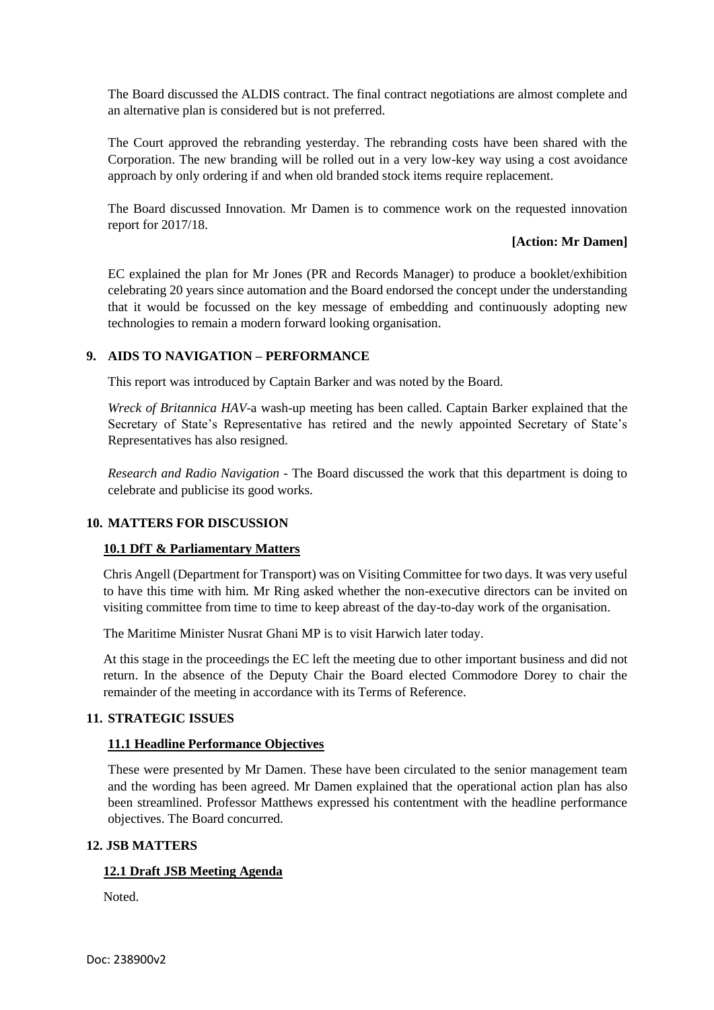The Board discussed the ALDIS contract. The final contract negotiations are almost complete and an alternative plan is considered but is not preferred.

The Court approved the rebranding yesterday. The rebranding costs have been shared with the Corporation. The new branding will be rolled out in a very low-key way using a cost avoidance approach by only ordering if and when old branded stock items require replacement.

The Board discussed Innovation. Mr Damen is to commence work on the requested innovation report for 2017/18.

### **[Action: Mr Damen]**

EC explained the plan for Mr Jones (PR and Records Manager) to produce a booklet/exhibition celebrating 20 years since automation and the Board endorsed the concept under the understanding that it would be focussed on the key message of embedding and continuously adopting new technologies to remain a modern forward looking organisation.

## **9. AIDS TO NAVIGATION – PERFORMANCE**

This report was introduced by Captain Barker and was noted by the Board.

*Wreck of Britannica HAV*-a wash-up meeting has been called. Captain Barker explained that the Secretary of State's Representative has retired and the newly appointed Secretary of State's Representatives has also resigned.

*Research and Radio Navigation* - The Board discussed the work that this department is doing to celebrate and publicise its good works.

### **10. MATTERS FOR DISCUSSION**

### **10.1 DfT & Parliamentary Matters**

Chris Angell (Department for Transport) was on Visiting Committee for two days. It was very useful to have this time with him. Mr Ring asked whether the non-executive directors can be invited on visiting committee from time to time to keep abreast of the day-to-day work of the organisation.

The Maritime Minister Nusrat Ghani MP is to visit Harwich later today.

At this stage in the proceedings the EC left the meeting due to other important business and did not return. In the absence of the Deputy Chair the Board elected Commodore Dorey to chair the remainder of the meeting in accordance with its Terms of Reference.

### **11. STRATEGIC ISSUES**

# **11.1 Headline Performance Objectives**

These were presented by Mr Damen. These have been circulated to the senior management team and the wording has been agreed. Mr Damen explained that the operational action plan has also been streamlined. Professor Matthews expressed his contentment with the headline performance objectives. The Board concurred.

### **12. JSB MATTERS**

# **12.1 Draft JSB Meeting Agenda**

Noted.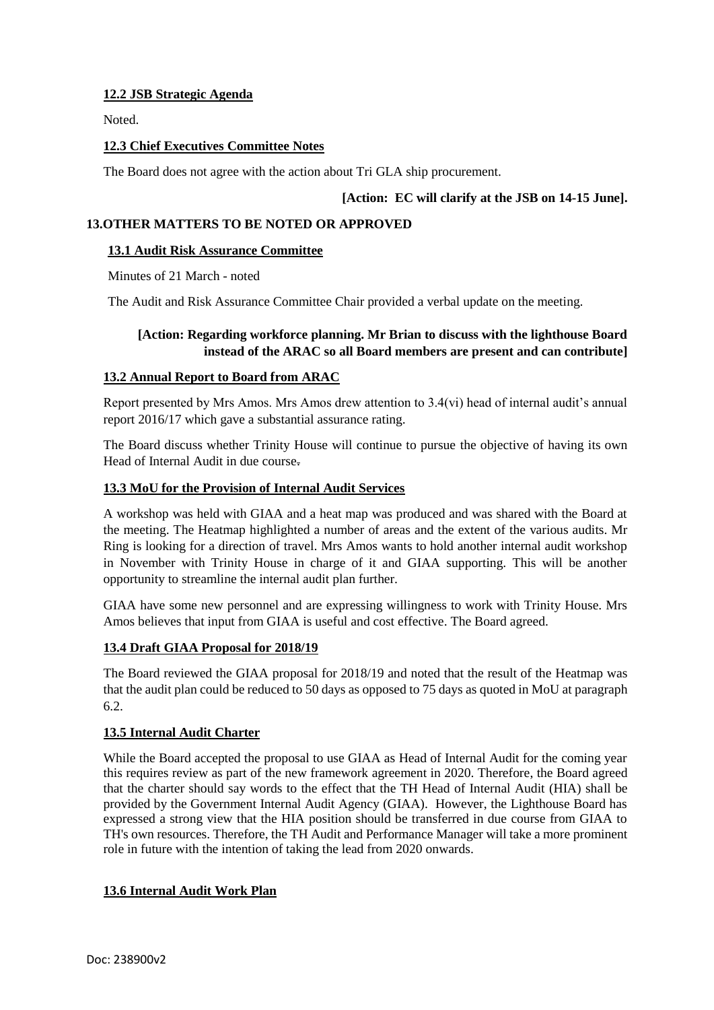## **12.2 JSB Strategic Agenda**

Noted.

## **12.3 Chief Executives Committee Notes**

The Board does not agree with the action about Tri GLA ship procurement.

## **[Action: EC will clarify at the JSB on 14-15 June].**

## **13.OTHER MATTERS TO BE NOTED OR APPROVED**

### **13.1 Audit Risk Assurance Committee**

Minutes of 21 March - noted

The Audit and Risk Assurance Committee Chair provided a verbal update on the meeting.

### **[Action: Regarding workforce planning. Mr Brian to discuss with the lighthouse Board instead of the ARAC so all Board members are present and can contribute]**

## **13.2 Annual Report to Board from ARAC**

Report presented by Mrs Amos. Mrs Amos drew attention to 3.4(vi) head of internal audit's annual report 2016/17 which gave a substantial assurance rating.

The Board discuss whether Trinity House will continue to pursue the objective of having its own Head of Internal Audit in due course.

## **13.3 MoU for the Provision of Internal Audit Services**

A workshop was held with GIAA and a heat map was produced and was shared with the Board at the meeting. The Heatmap highlighted a number of areas and the extent of the various audits. Mr Ring is looking for a direction of travel. Mrs Amos wants to hold another internal audit workshop in November with Trinity House in charge of it and GIAA supporting. This will be another opportunity to streamline the internal audit plan further.

GIAA have some new personnel and are expressing willingness to work with Trinity House. Mrs Amos believes that input from GIAA is useful and cost effective. The Board agreed.

### **13.4 Draft GIAA Proposal for 2018/19**

The Board reviewed the GIAA proposal for 2018/19 and noted that the result of the Heatmap was that the audit plan could be reduced to 50 days as opposed to 75 days as quoted in MoU at paragraph 6.2.

### **13.5 Internal Audit Charter**

While the Board accepted the proposal to use GIAA as Head of Internal Audit for the coming year this requires review as part of the new framework agreement in 2020. Therefore, the Board agreed that the charter should say words to the effect that the TH Head of Internal Audit (HIA) shall be provided by the Government Internal Audit Agency (GIAA). However, the Lighthouse Board has expressed a strong view that the HIA position should be transferred in due course from GIAA to TH's own resources. Therefore, the TH Audit and Performance Manager will take a more prominent role in future with the intention of taking the lead from 2020 onwards.

# **13.6 Internal Audit Work Plan**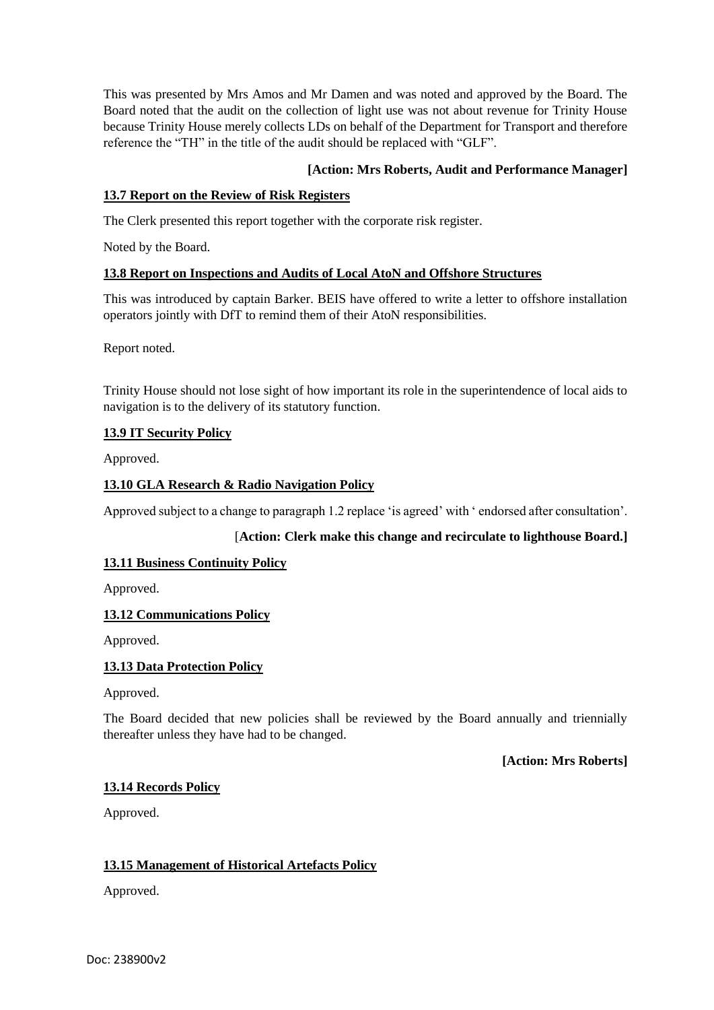This was presented by Mrs Amos and Mr Damen and was noted and approved by the Board. The Board noted that the audit on the collection of light use was not about revenue for Trinity House because Trinity House merely collects LDs on behalf of the Department for Transport and therefore reference the "TH" in the title of the audit should be replaced with "GLF".

## **[Action: Mrs Roberts, Audit and Performance Manager]**

## **13.7 Report on the Review of Risk Registers**

The Clerk presented this report together with the corporate risk register.

Noted by the Board.

## **13.8 Report on Inspections and Audits of Local AtoN and Offshore Structures**

This was introduced by captain Barker. BEIS have offered to write a letter to offshore installation operators jointly with DfT to remind them of their AtoN responsibilities.

Report noted.

Trinity House should not lose sight of how important its role in the superintendence of local aids to navigation is to the delivery of its statutory function.

## **13.9 IT Security Policy**

Approved.

# **13.10 GLA Research & Radio Navigation Policy**

Approved subject to a change to paragraph 1.2 replace 'is agreed' with ' endorsed after consultation'.

# [**Action: Clerk make this change and recirculate to lighthouse Board.]**

### **13.11 Business Continuity Policy**

Approved.

# **13.12 Communications Policy**

Approved.

# **13.13 Data Protection Policy**

Approved.

The Board decided that new policies shall be reviewed by the Board annually and triennially thereafter unless they have had to be changed.

**[Action: Mrs Roberts]**

### **13.14 Records Policy**

Approved.

# **13.15 Management of Historical Artefacts Policy**

Approved.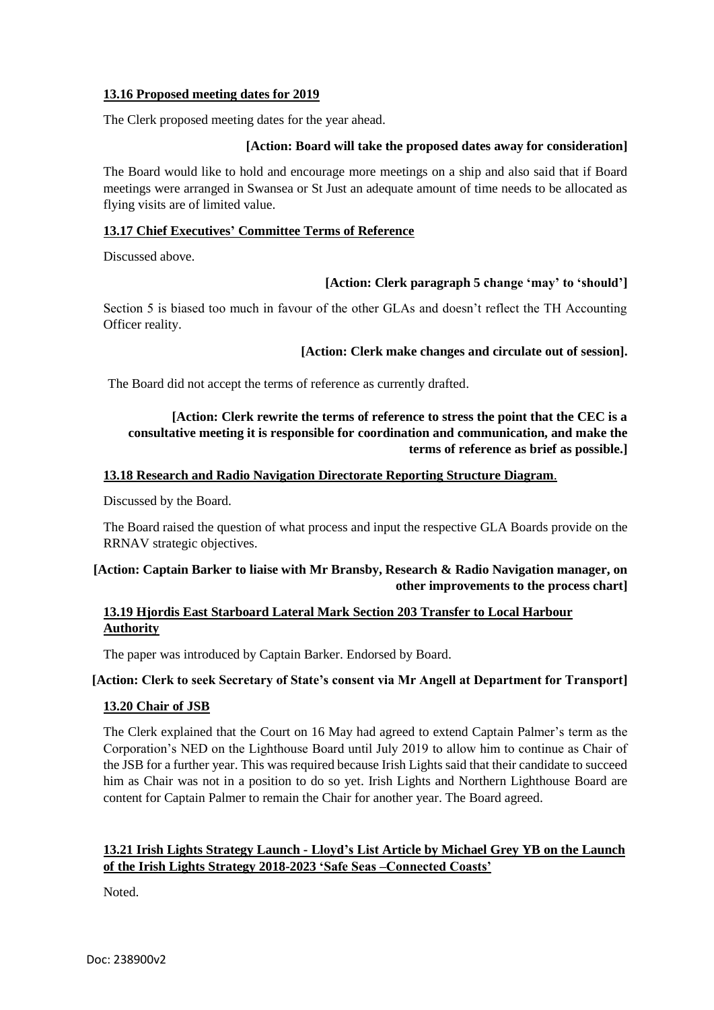## **13.16 Proposed meeting dates for 2019**

The Clerk proposed meeting dates for the year ahead.

## **[Action: Board will take the proposed dates away for consideration]**

The Board would like to hold and encourage more meetings on a ship and also said that if Board meetings were arranged in Swansea or St Just an adequate amount of time needs to be allocated as flying visits are of limited value.

## **13.17 Chief Executives' Committee Terms of Reference**

Discussed above.

# **[Action: Clerk paragraph 5 change 'may' to 'should']**

Section 5 is biased too much in favour of the other GLAs and doesn't reflect the TH Accounting Officer reality.

## **[Action: Clerk make changes and circulate out of session].**

The Board did not accept the terms of reference as currently drafted.

# **[Action: Clerk rewrite the terms of reference to stress the point that the CEC is a consultative meeting it is responsible for coordination and communication, and make the terms of reference as brief as possible.]**

## **13.18 Research and Radio Navigation Directorate Reporting Structure Diagram**.

Discussed by the Board.

The Board raised the question of what process and input the respective GLA Boards provide on the RRNAV strategic objectives.

# **[Action: Captain Barker to liaise with Mr Bransby, Research & Radio Navigation manager, on other improvements to the process chart]**

# **13.19 Hjordis East Starboard Lateral Mark Section 203 Transfer to Local Harbour Authority**

The paper was introduced by Captain Barker. Endorsed by Board.

# **[Action: Clerk to seek Secretary of State's consent via Mr Angell at Department for Transport]**

## **13.20 Chair of JSB**

The Clerk explained that the Court on 16 May had agreed to extend Captain Palmer's term as the Corporation's NED on the Lighthouse Board until July 2019 to allow him to continue as Chair of the JSB for a further year. This was required because Irish Lights said that their candidate to succeed him as Chair was not in a position to do so yet. Irish Lights and Northern Lighthouse Board are content for Captain Palmer to remain the Chair for another year. The Board agreed.

# **13.21 Irish Lights Strategy Launch - Lloyd's List Article by Michael Grey YB on the Launch of the Irish Lights Strategy 2018-2023 'Safe Seas –Connected Coasts'**

Noted.